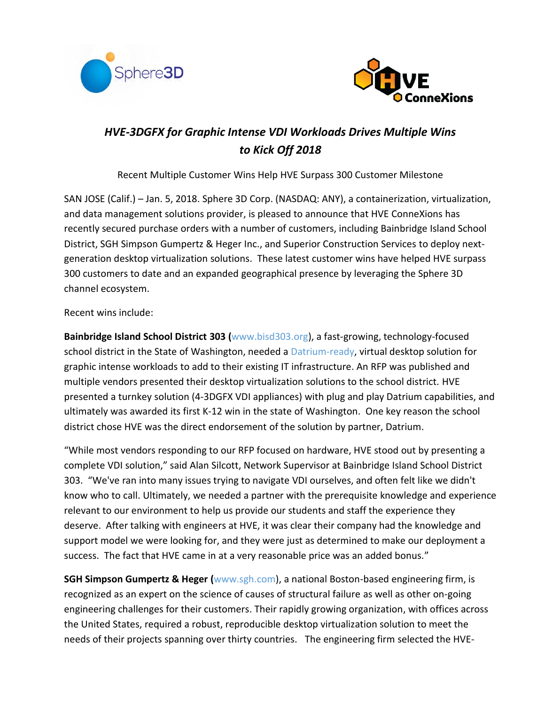



# *HVE-3DGFX for Graphic Intense VDI Workloads Drives Multiple Wins to Kick Off 2018*

Recent Multiple Customer Wins Help HVE Surpass 300 Customer Milestone

SAN JOSE (Calif.) – Jan. 5, 2018. [Sphere 3D Corp.](http://www.sphere3d.com/) (NASDAQ: ANY), a containerization, virtualization, and data management solutions provider, is pleased to announce that HVE ConneXions has recently secured purchase orders with a number of customers, including Bainbridge Island School District, SGH Simpson Gumpertz & Heger Inc., and Superior Construction Services to deploy nextgeneration desktop virtualization solutions. These latest customer wins have helped HVE surpass 300 customers to date and an expanded geographical presence by leveraging the Sphere 3D channel ecosystem.

Recent wins include:

**Bainbridge Island School District 303 (**[www.bisd303.org\)](file:///C:/Users/pdrayton/AppData/Local/Microsoft/Windows/INetCache/Content.Outlook/2ZJAP5Y0/www.bisd303.org), a fast-growing, technology-focused school district in the State of Washington, needed [a Datrium-ready,](http://sphere3d.com/sphere-3d-and-datrium-partner-to-accelerate-open-convergence-adoption-for-the-private-cloud-data-center/) virtual desktop solution for graphic intense workloads to add to their existing IT infrastructure. An RFP was published and multiple vendors presented their desktop virtualization solutions to the school district. HVE presented a turnkey solution (4-3DGFX VDI appliances) with plug and play Datrium capabilities, and ultimately was awarded its first K-12 win in the state of Washington. One key reason the school district chose HVE was the direct endorsement of the solution by partner, Datrium.

"While most vendors responding to our RFP focused on hardware, HVE stood out by presenting a complete VDI solution," said Alan Silcott, Network Supervisor at Bainbridge Island School District 303. "We've ran into many issues trying to navigate VDI ourselves, and often felt like we didn't know who to call. Ultimately, we needed a partner with the prerequisite knowledge and experience relevant to our environment to help us provide our students and staff the experience they deserve. After talking with engineers at HVE, it was clear their company had the knowledge and support model we were looking for, and they were just as determined to make our deployment a success. The fact that HVE came in at a very reasonable price was an added bonus."

**SGH Simpson Gumpertz & Heger (**[www.sgh.com\)](http://www.sgh.com/), a national Boston-based engineering firm, is recognized as an expert on the science of causes of structural failure as well as other on-going engineering challenges for their customers. Their rapidly growing organization, with offices across the United States, required a robust, reproducible desktop virtualization solution to meet the needs of their projects spanning over thirty countries. The engineering firm selected the HVE-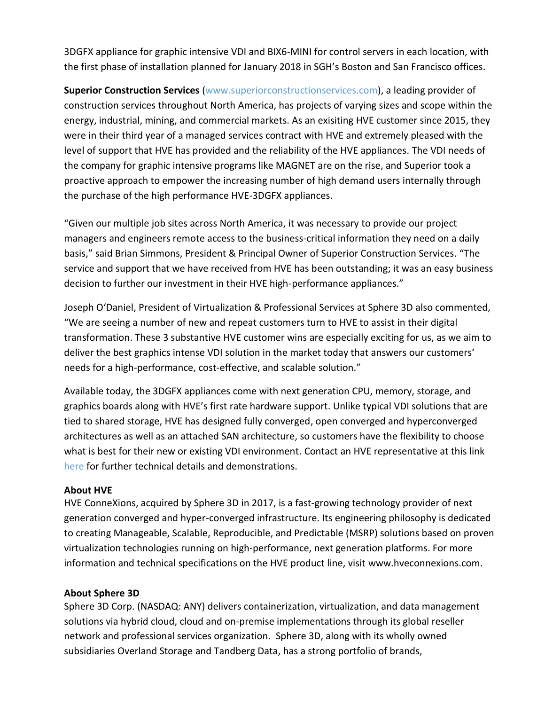3DGFX appliance for graphic intensive VDI and BIX6-MINI for control servers in each location, with the first phase of installation planned for January 2018 in SGH's Boston and San Francisco offices.

**Superior Construction Services** [\(www.superiorc](http://www.superior/)onstructionservices.com), a leading provider of construction services throughout North America, has projects of varying sizes and scope within the energy, industrial, mining, and commercial markets. As an exisiting HVE customer since 2015, they were in their third year of a managed services contract with HVE and extremely pleased with the level of support that HVE has provided and the reliability of the HVE appliances. The VDI needs of the company for graphic intensive programs like MAGNET are on the rise, and Superior took a proactive approach to empower the increasing number of high demand users internally through the purchase of the high performance HVE-3DGFX appliances.

"Given our multiple job sites across North America, it was necessary to provide our project managers and engineers remote access to the business-critical information they need on a daily basis," said Brian Simmons, President & Principal Owner of Superior Construction Services. "The service and support that we have received from HVE has been outstanding; it was an easy business decision to further our investment in their HVE high-performance appliances."

Joseph O'Daniel, President of Virtualization & Professional Services at Sphere 3D also commented, "We are seeing a number of new and repeat customers turn to HVE to assist in their digital transformation. These 3 substantive HVE customer wins are especially exciting for us, as we aim to deliver the best graphics intense VDI solution in the market today that answers our customers' needs for a high-performance, cost-effective, and scalable solution."

Available today, the 3DGFX appliances come with next generation CPU, memory, storage, and graphics boards along with HVE's first rate hardware support. Unlike typical VDI solutions that are tied to shared storage, HVE has designed fully converged, open converged and hyperconverged architectures as well as an attached SAN architecture, so customers have the flexibility to choose what is best for their new or existing VDI environment. Contact an HVE representative at this link [here](http://hveconnexions.com/ContactUs) for further technical details and demonstrations.

### **About HVE**

HVE ConneXions, acquired by Sphere 3D in 2017, is a fast-growing technology provider of next generation converged and hyper-converged infrastructure. Its engineering philosophy is dedicated to creating Manageable, Scalable, Reproducible, and Predictable (MSRP) solutions based on proven virtualization technologies running on high-performance, next generation platforms. For more information and technical specifications on the HVE product line, visit [www.hveconnexions.com.](http://www.hveconnexions.com/)

#### **About Sphere 3D**

Sphere 3D Corp. (NASDAQ: ANY) delivers containerization, virtualization, and data management solutions via hybrid cloud, cloud and on-premise implementations through its global reseller network and professional services organization. Sphere 3D, along with its wholly owned subsidiaries [Overland Storage](http://www.overlandstorage.com/) and [Tandberg Data,](http://www.tandbergdata.com/) has a strong portfolio of brands,